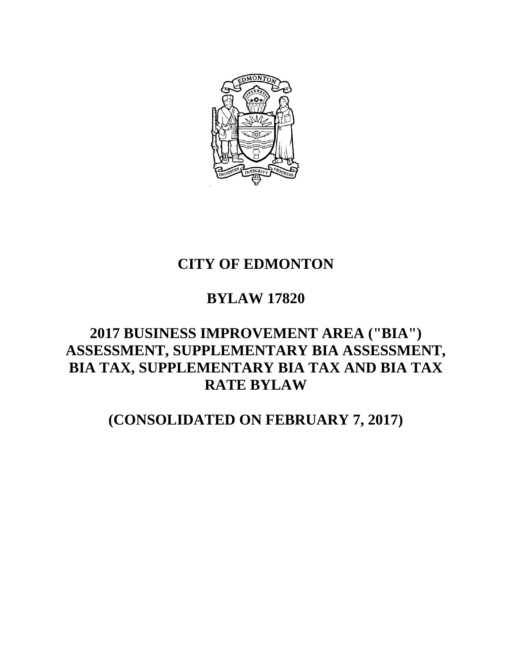

# **CITY OF EDMONTON**

# **BYLAW 17820**

# **2017 BUSINESS IMPROVEMENT AREA ("BIA") ASSESSMENT, SUPPLEMENTARY BIA ASSESSMENT, BIA TAX, SUPPLEMENTARY BIA TAX AND BIA TAX RATE BYLAW**

# **(CONSOLIDATED ON FEBRUARY 7, 2017)**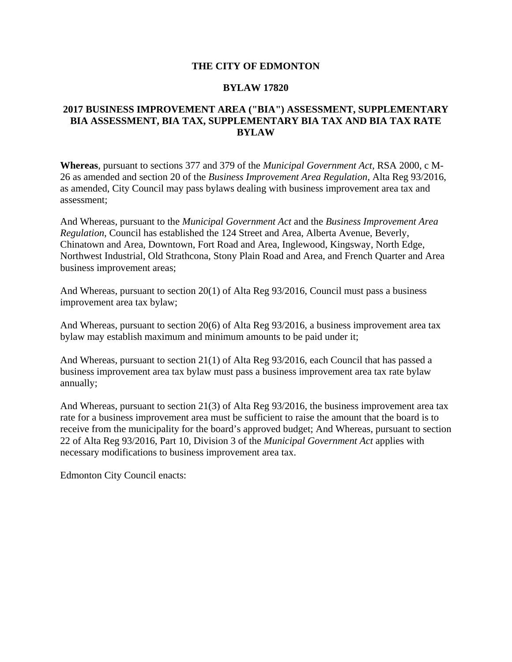#### **THE CITY OF EDMONTON**

#### **BYLAW 17820**

#### **2017 BUSINESS IMPROVEMENT AREA ("BIA") ASSESSMENT, SUPPLEMENTARY BIA ASSESSMENT, BIA TAX, SUPPLEMENTARY BIA TAX AND BIA TAX RATE BYLAW**

**Whereas**, pursuant to sections 377 and 379 of the *Municipal Government Act*, RSA 2000, c M-26 as amended and section 20 of the *Business Improvement Area Regulation*, Alta Reg 93/2016, as amended, City Council may pass bylaws dealing with business improvement area tax and assessment;

And Whereas, pursuant to the *Municipal Government Act* and the *Business Improvement Area Regulation*, Council has established the 124 Street and Area, Alberta Avenue, Beverly, Chinatown and Area, Downtown, Fort Road and Area, Inglewood, Kingsway, North Edge, Northwest Industrial, Old Strathcona, Stony Plain Road and Area, and French Quarter and Area business improvement areas;

And Whereas, pursuant to section 20(1) of Alta Reg 93/2016, Council must pass a business improvement area tax bylaw;

And Whereas, pursuant to section 20(6) of Alta Reg 93/2016, a business improvement area tax bylaw may establish maximum and minimum amounts to be paid under it;

And Whereas, pursuant to section 21(1) of Alta Reg 93/2016, each Council that has passed a business improvement area tax bylaw must pass a business improvement area tax rate bylaw annually;

And Whereas, pursuant to section 21(3) of Alta Reg 93/2016, the business improvement area tax rate for a business improvement area must be sufficient to raise the amount that the board is to receive from the municipality for the board's approved budget; And Whereas, pursuant to section 22 of Alta Reg 93/2016, Part 10, Division 3 of the *Municipal Government Act* applies with necessary modifications to business improvement area tax.

Edmonton City Council enacts: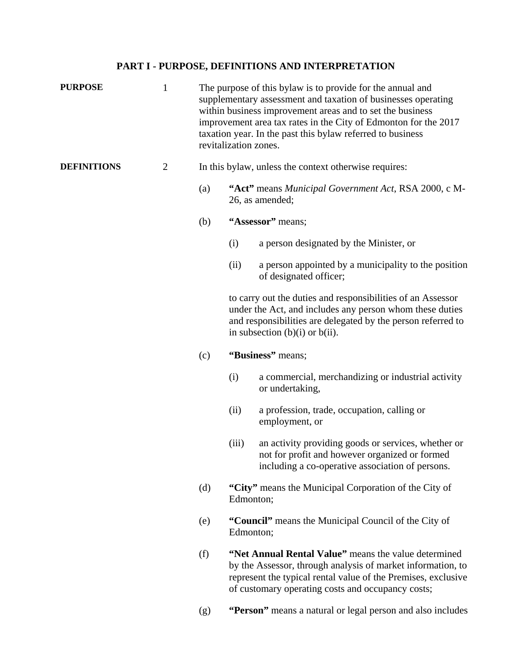### **PART I - PURPOSE, DEFINITIONS AND INTERPRETATION**

| <b>PURPOSE</b>     | $\mathbf{1}$   | The purpose of this bylaw is to provide for the annual and<br>supplementary assessment and taxation of businesses operating<br>within business improvement areas and to set the business<br>improvement area tax rates in the City of Edmonton for the 2017<br>taxation year. In the past this bylaw referred to business<br>revitalization zones. |                                                                                                                                                                                                                                           |                                                                                                                                                           |  |  |
|--------------------|----------------|----------------------------------------------------------------------------------------------------------------------------------------------------------------------------------------------------------------------------------------------------------------------------------------------------------------------------------------------------|-------------------------------------------------------------------------------------------------------------------------------------------------------------------------------------------------------------------------------------------|-----------------------------------------------------------------------------------------------------------------------------------------------------------|--|--|
| <b>DEFINITIONS</b> | $\overline{2}$ |                                                                                                                                                                                                                                                                                                                                                    | In this bylaw, unless the context otherwise requires:                                                                                                                                                                                     |                                                                                                                                                           |  |  |
|                    |                | (a)                                                                                                                                                                                                                                                                                                                                                | "Act" means Municipal Government Act, RSA 2000, c M-<br>26, as amended;<br>"Assessor" means;                                                                                                                                              |                                                                                                                                                           |  |  |
|                    |                | (b)                                                                                                                                                                                                                                                                                                                                                |                                                                                                                                                                                                                                           |                                                                                                                                                           |  |  |
|                    |                |                                                                                                                                                                                                                                                                                                                                                    | (i)                                                                                                                                                                                                                                       | a person designated by the Minister, or                                                                                                                   |  |  |
|                    |                |                                                                                                                                                                                                                                                                                                                                                    | (ii)                                                                                                                                                                                                                                      | a person appointed by a municipality to the position<br>of designated officer;                                                                            |  |  |
|                    |                |                                                                                                                                                                                                                                                                                                                                                    | to carry out the duties and responsibilities of an Assessor<br>under the Act, and includes any person whom these duties<br>and responsibilities are delegated by the person referred to<br>in subsection $(b)(i)$ or $b(ii)$ .            |                                                                                                                                                           |  |  |
|                    |                | (c)                                                                                                                                                                                                                                                                                                                                                |                                                                                                                                                                                                                                           | "Business" means;                                                                                                                                         |  |  |
|                    |                |                                                                                                                                                                                                                                                                                                                                                    | (i)                                                                                                                                                                                                                                       | a commercial, merchandizing or industrial activity<br>or undertaking,                                                                                     |  |  |
|                    |                |                                                                                                                                                                                                                                                                                                                                                    | (ii)                                                                                                                                                                                                                                      | a profession, trade, occupation, calling or<br>employment, or                                                                                             |  |  |
|                    |                |                                                                                                                                                                                                                                                                                                                                                    | (iii)                                                                                                                                                                                                                                     | an activity providing goods or services, whether or<br>not for profit and however organized or formed<br>including a co-operative association of persons. |  |  |
|                    |                | (d)                                                                                                                                                                                                                                                                                                                                                | "City" means the Municipal Corporation of the City of<br>Edmonton;                                                                                                                                                                        |                                                                                                                                                           |  |  |
|                    |                | (e)                                                                                                                                                                                                                                                                                                                                                | Edmonton;                                                                                                                                                                                                                                 | "Council" means the Municipal Council of the City of                                                                                                      |  |  |
|                    |                | (f)                                                                                                                                                                                                                                                                                                                                                | "Net Annual Rental Value" means the value determined<br>by the Assessor, through analysis of market information, to<br>represent the typical rental value of the Premises, exclusive<br>of customary operating costs and occupancy costs; |                                                                                                                                                           |  |  |
|                    |                | (g)                                                                                                                                                                                                                                                                                                                                                |                                                                                                                                                                                                                                           | "Person" means a natural or legal person and also includes                                                                                                |  |  |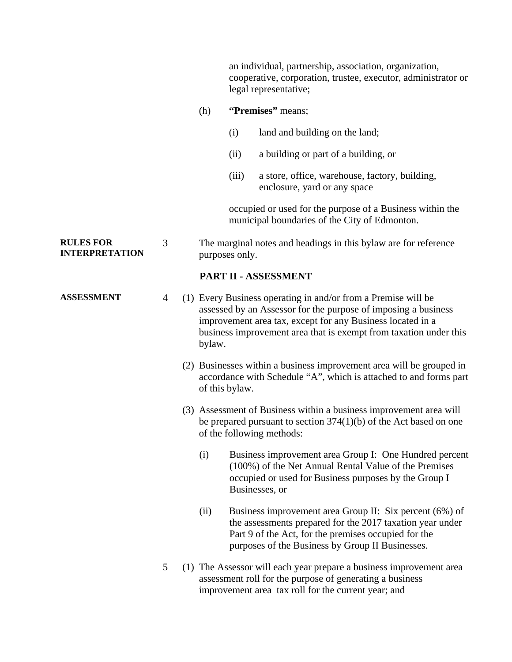an individual, partnership, association, organization, cooperative, corporation, trustee, executor, administrator or legal representative;

#### (h) **"Premises"** means;

- (i) land and building on the land;
- (ii) a building or part of a building, or
- (iii) a store, office, warehouse, factory, building, enclosure, yard or any space

occupied or used for the purpose of a Business within the municipal boundaries of the City of Edmonton.

#### **RULES FOR INTERPRETATION**  3 The marginal notes and headings in this bylaw are for reference purposes only.

#### **PART II - ASSESSMENT**

- **ASSESSMENT** 4 (1) Every Business operating in and/or from a Premise will be assessed by an Assessor for the purpose of imposing a business improvement area tax, except for any Business located in a business improvement area that is exempt from taxation under this bylaw.
	- (2) Businesses within a business improvement area will be grouped in accordance with Schedule "A", which is attached to and forms part of this bylaw.
	- (3) Assessment of Business within a business improvement area will be prepared pursuant to section 374(1)(b) of the Act based on one of the following methods:
		- (i) Business improvement area Group I: One Hundred percent (100%) of the Net Annual Rental Value of the Premises occupied or used for Business purposes by the Group I Businesses, or
		- (ii) Business improvement area Group II: Six percent (6%) of the assessments prepared for the 2017 taxation year under Part 9 of the Act, for the premises occupied for the purposes of the Business by Group II Businesses.
	- 5 (1) The Assessor will each year prepare a business improvement area assessment roll for the purpose of generating a business improvement area tax roll for the current year; and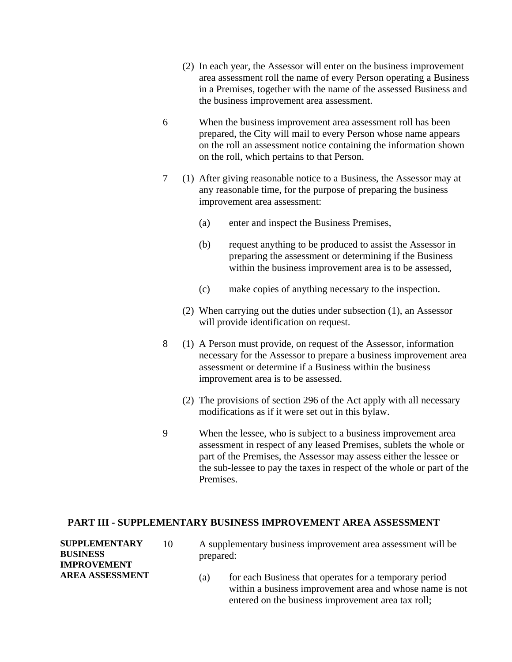- (2) In each year, the Assessor will enter on the business improvement area assessment roll the name of every Person operating a Business in a Premises, together with the name of the assessed Business and the business improvement area assessment.
- 6 When the business improvement area assessment roll has been prepared, the City will mail to every Person whose name appears on the roll an assessment notice containing the information shown on the roll, which pertains to that Person.
- 7 (1) After giving reasonable notice to a Business, the Assessor may at any reasonable time, for the purpose of preparing the business improvement area assessment:
	- (a) enter and inspect the Business Premises,
	- (b) request anything to be produced to assist the Assessor in preparing the assessment or determining if the Business within the business improvement area is to be assessed,
	- (c) make copies of anything necessary to the inspection.
	- (2) When carrying out the duties under subsection (1), an Assessor will provide identification on request.
- 8 (1) A Person must provide, on request of the Assessor, information necessary for the Assessor to prepare a business improvement area assessment or determine if a Business within the business improvement area is to be assessed.
	- (2) The provisions of section 296 of the Act apply with all necessary modifications as if it were set out in this bylaw.
- 9 When the lessee, who is subject to a business improvement area assessment in respect of any leased Premises, sublets the whole or part of the Premises, the Assessor may assess either the lessee or the sub-lessee to pay the taxes in respect of the whole or part of the Premises.

#### **PART III - SUPPLEMENTARY BUSINESS IMPROVEMENT AREA ASSESSMENT**

| <b>SUPPLEMENTARY</b><br>BUSINESS<br><b>IMPROVEMENT</b> | 10 | A supplementary business improvement area assessment will be<br>prepared:                                                                                                       |  |  |
|--------------------------------------------------------|----|---------------------------------------------------------------------------------------------------------------------------------------------------------------------------------|--|--|
| AREA ASSESSMENT                                        |    | for each Business that operates for a temporary period<br>(a)<br>within a business improvement area and whose name is not<br>entered on the business improvement area tax roll; |  |  |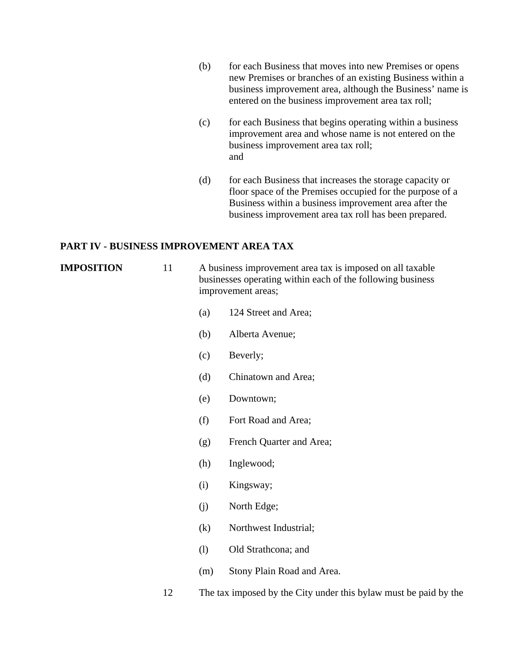- (b) for each Business that moves into new Premises or opens new Premises or branches of an existing Business within a business improvement area, although the Business' name is entered on the business improvement area tax roll;
- (c) for each Business that begins operating within a business improvement area and whose name is not entered on the business improvement area tax roll; and
- (d) for each Business that increases the storage capacity or floor space of the Premises occupied for the purpose of a Business within a business improvement area after the business improvement area tax roll has been prepared.

#### **PART IV - BUSINESS IMPROVEMENT AREA TAX**

**IMPOSITION** 11 A business improvement area tax is imposed on all taxable businesses operating within each of the following business improvement areas;

- (a) 124 Street and Area;
- (b) Alberta Avenue;
- (c) Beverly;
- (d) Chinatown and Area;
- (e) Downtown;
- (f) Fort Road and Area;
- (g) French Quarter and Area;
- (h) Inglewood;
- (i) Kingsway;
- (j) North Edge;
- (k) Northwest Industrial;
- (l) Old Strathcona; and
- (m) Stony Plain Road and Area.
- 12 The tax imposed by the City under this bylaw must be paid by the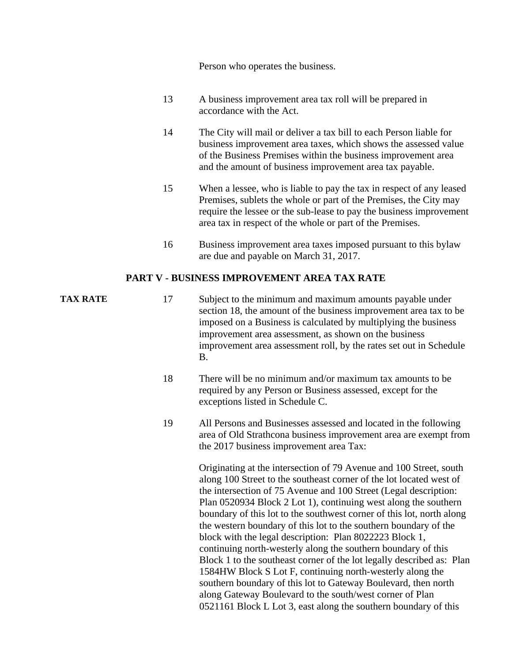Person who operates the business.

- 13 A business improvement area tax roll will be prepared in accordance with the Act.
- 14 The City will mail or deliver a tax bill to each Person liable for business improvement area taxes, which shows the assessed value of the Business Premises within the business improvement area and the amount of business improvement area tax payable.
- 15 When a lessee, who is liable to pay the tax in respect of any leased Premises, sublets the whole or part of the Premises, the City may require the lessee or the sub-lease to pay the business improvement area tax in respect of the whole or part of the Premises.
- 16 Business improvement area taxes imposed pursuant to this bylaw are due and payable on March 31, 2017.

#### **PART V - BUSINESS IMPROVEMENT AREA TAX RATE**

- **TAX RATE** 17 Subject to the minimum and maximum amounts payable under section 18, the amount of the business improvement area tax to be imposed on a Business is calculated by multiplying the business improvement area assessment, as shown on the business improvement area assessment roll, by the rates set out in Schedule B.
	- 18 There will be no minimum and/or maximum tax amounts to be required by any Person or Business assessed, except for the exceptions listed in Schedule C.
	- 19 All Persons and Businesses assessed and located in the following area of Old Strathcona business improvement area are exempt from the 2017 business improvement area Tax:

 Originating at the intersection of 79 Avenue and 100 Street, south along 100 Street to the southeast corner of the lot located west of the intersection of 75 Avenue and 100 Street (Legal description: Plan 0520934 Block 2 Lot 1), continuing west along the southern boundary of this lot to the southwest corner of this lot, north along the western boundary of this lot to the southern boundary of the block with the legal description: Plan 8022223 Block 1, continuing north-westerly along the southern boundary of this Block 1 to the southeast corner of the lot legally described as: Plan 1584HW Block S Lot F, continuing north-westerly along the southern boundary of this lot to Gateway Boulevard, then north along Gateway Boulevard to the south/west corner of Plan 0521161 Block L Lot 3, east along the southern boundary of this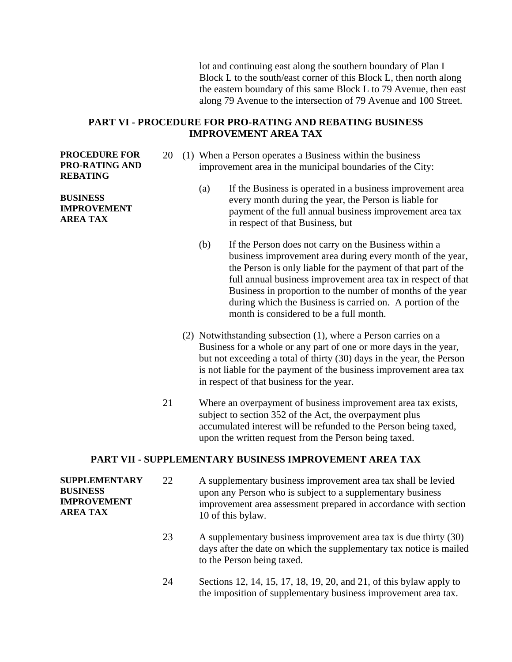lot and continuing east along the southern boundary of Plan I Block L to the south/east corner of this Block L, then north along the eastern boundary of this same Block L to 79 Avenue, then east along 79 Avenue to the intersection of 79 Avenue and 100 Street.

#### **PART VI - PROCEDURE FOR PRO-RATING AND REBATING BUSINESS IMPROVEMENT AREA TAX**

#### **PROCEDURE FOR PRO-RATING AND REBATING**

**BUSINESS IMPROVEMENT AREA TAX** 

- 20 (1) When a Person operates a Business within the business improvement area in the municipal boundaries of the City:
	- (a) If the Business is operated in a business improvement area every month during the year, the Person is liable for payment of the full annual business improvement area tax in respect of that Business, but
	- (b) If the Person does not carry on the Business within a business improvement area during every month of the year, the Person is only liable for the payment of that part of the full annual business improvement area tax in respect of that Business in proportion to the number of months of the year during which the Business is carried on. A portion of the month is considered to be a full month.
	- (2) Notwithstanding subsection (1), where a Person carries on a Business for a whole or any part of one or more days in the year, but not exceeding a total of thirty (30) days in the year, the Person is not liable for the payment of the business improvement area tax in respect of that business for the year.
- 21 Where an overpayment of business improvement area tax exists, subject to section 352 of the Act, the overpayment plus accumulated interest will be refunded to the Person being taxed, upon the written request from the Person being taxed.

#### **PART VII - SUPPLEMENTARY BUSINESS IMPROVEMENT AREA TAX**

**SUPPLEMENTARY BUSINESS IMPROVEMENT AREA TAX**  22 A supplementary business improvement area tax shall be levied upon any Person who is subject to a supplementary business improvement area assessment prepared in accordance with section 10 of this bylaw.

- 23 A supplementary business improvement area tax is due thirty (30) days after the date on which the supplementary tax notice is mailed to the Person being taxed.
- 24 Sections 12, 14, 15, 17, 18, 19, 20, and 21, of this bylaw apply to the imposition of supplementary business improvement area tax.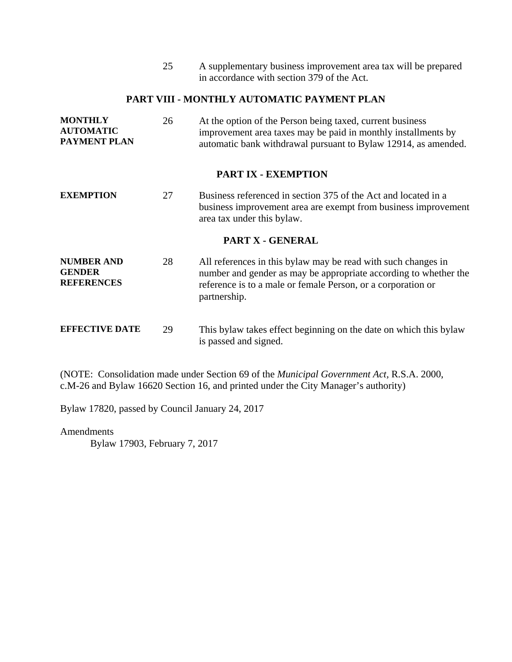25 A supplementary business improvement area tax will be prepared in accordance with section 379 of the Act.

#### **PART VIII - MONTHLY AUTOMATIC PAYMENT PLAN**

| <b>MONTHLY</b>      | 26 | At the option of the Person being taxed, current business      |
|---------------------|----|----------------------------------------------------------------|
| <b>AUTOMATIC</b>    |    | improvement area taxes may be paid in monthly installments by  |
| <b>PAYMENT PLAN</b> |    | automatic bank withdrawal pursuant to Bylaw 12914, as amended. |

#### **PART IX - EXEMPTION**

**EXEMPTION** 27 Business referenced in section 375 of the Act and located in a business improvement area are exempt from business improvement area tax under this bylaw.

#### **PART X - GENERAL**

- **NUMBER AND GENDER REFERENCES**  28 All references in this bylaw may be read with such changes in number and gender as may be appropriate according to whether the reference is to a male or female Person, or a corporation or partnership.
- **EFFECTIVE DATE** 29 This bylaw takes effect beginning on the date on which this bylaw is passed and signed.

(NOTE: Consolidation made under Section 69 of the *Municipal Government Act,* R.S.A. 2000, c.M-26 and Bylaw 16620 Section 16, and printed under the City Manager's authority)

Bylaw 17820, passed by Council January 24, 2017

Amendments

Bylaw 17903, February 7, 2017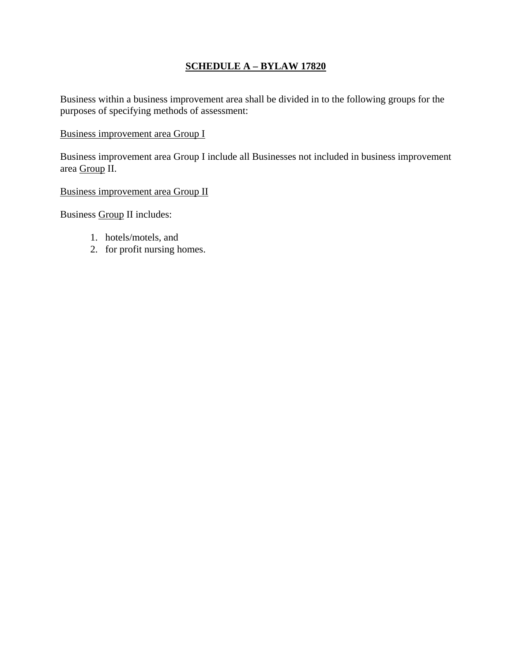### **SCHEDULE A – BYLAW 17820**

Business within a business improvement area shall be divided in to the following groups for the purposes of specifying methods of assessment:

#### Business improvement area Group I

Business improvement area Group I include all Businesses not included in business improvement area Group II.

Business improvement area Group II

Business Group II includes:

- 1. hotels/motels, and
- 2. for profit nursing homes.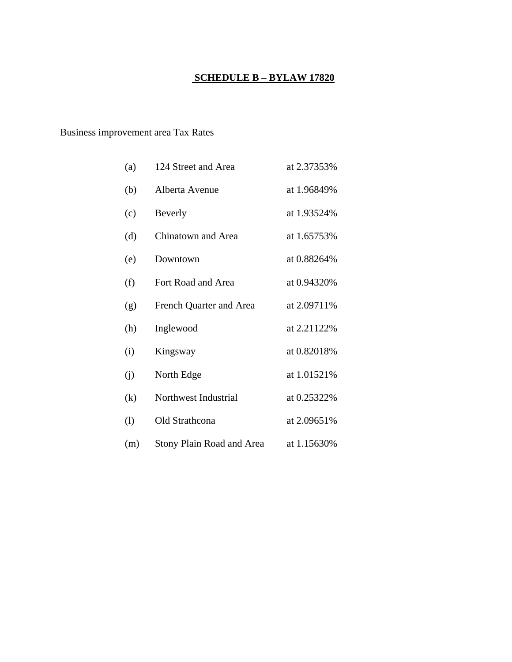### **SCHEDULE B – BYLAW 17820**

### Business improvement area Tax Rates

| (a)                          | 124 Street and Area       | at 2.37353% |
|------------------------------|---------------------------|-------------|
| (b)                          | Alberta Avenue            | at 1.96849% |
| (c)                          | Beverly                   | at 1.93524% |
| (d)                          | Chinatown and Area        | at 1.65753% |
| (e)                          | Downtown                  | at 0.88264% |
| (f)                          | Fort Road and Area        | at 0.94320% |
| (g)                          | French Quarter and Area   | at 2.09711% |
| (h)                          | Inglewood                 | at 2.21122% |
| (i)                          | Kingsway                  | at 0.82018% |
| (j)                          | North Edge                | at 1.01521% |
| (k)                          | Northwest Industrial      | at 0.25322% |
| $\left( \frac{1}{2} \right)$ | Old Strathcona            | at 2.09651% |
| (m)                          | Stony Plain Road and Area | at 1.15630% |